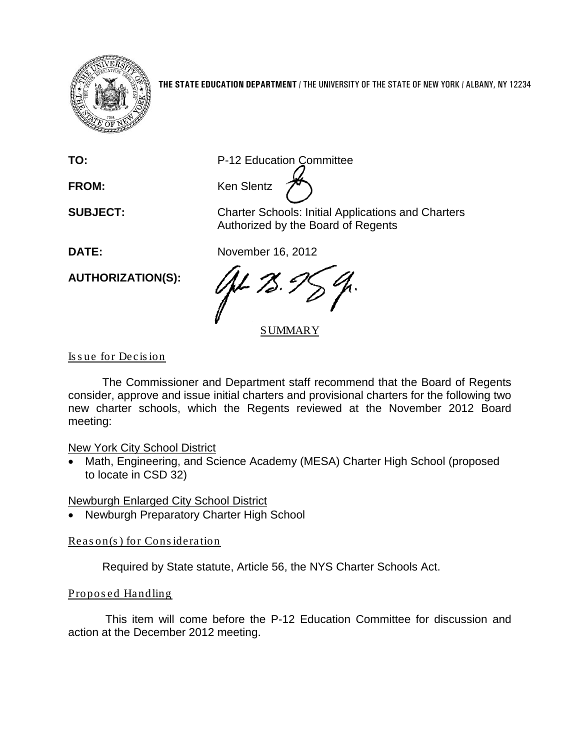

**THE STATE EDUCATION DEPARTMENT** / THE UNIVERSITY OF THE STATE OF NEW YORK / ALBANY, NY 12234

**TO:** P-12 Education Committee FROM: Ken Slentz

**SUBJECT:** Charter Schools: Initial Applications and Charters Authorized by the Board of Regents

**DATE:** November 16, 2012

**AUTHORIZATION(S):**

SUMMARY

Is s ue for Decis ion

The Commissioner and Department staff recommend that the Board of Regents consider, approve and issue initial charters and provisional charters for the following two new charter schools, which the Regents reviewed at the November 2012 Board meeting:

New York City School District

• Math, Engineering, and Science Academy (MESA) Charter High School (proposed to locate in CSD 32)

Newburgh Enlarged City School District

• Newburgh Preparatory Charter High School

Reas on(s ) for Cons ideration

Required by State statute, Article 56, the NYS Charter Schools Act.

Propos ed Handling

This item will come before the P-12 Education Committee for discussion and action at the December 2012 meeting.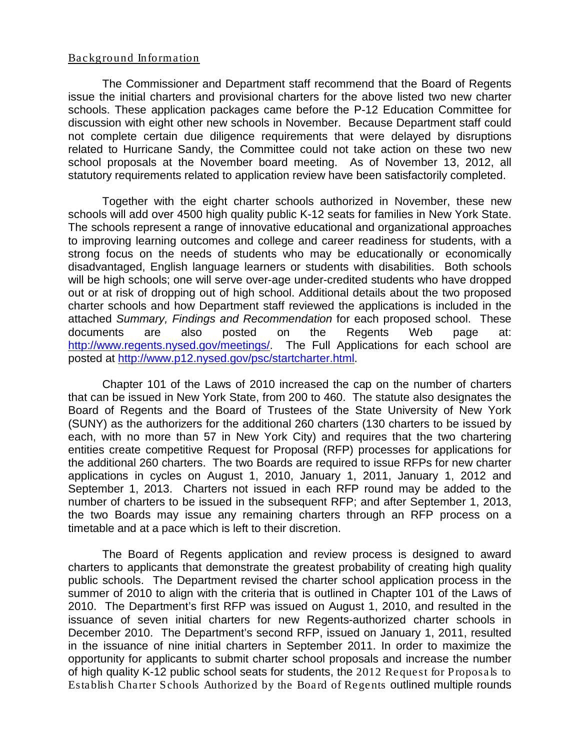## Background Information

The Commissioner and Department staff recommend that the Board of Regents issue the initial charters and provisional charters for the above listed two new charter schools. These application packages came before the P-12 Education Committee for discussion with eight other new schools in November. Because Department staff could not complete certain due diligence requirements that were delayed by disruptions related to Hurricane Sandy, the Committee could not take action on these two new school proposals at the November board meeting. As of November 13, 2012, all statutory requirements related to application review have been satisfactorily completed.

Together with the eight charter schools authorized in November, these new schools will add over 4500 high quality public K-12 seats for families in New York State. The schools represent a range of innovative educational and organizational approaches to improving learning outcomes and college and career readiness for students, with a strong focus on the needs of students who may be educationally or economically disadvantaged, English language learners or students with disabilities. Both schools will be high schools; one will serve over-age under-credited students who have dropped out or at risk of dropping out of high school. Additional details about the two proposed charter schools and how Department staff reviewed the applications is included in the attached *Summary, Findings and Recommendation* for each proposed school. These documents are also posted on the Regents Web page at: [http://www.regents.nysed.gov/meetings/.](http://www.regents.nysed.gov/meetings/) The Full Applications for each school are posted at [http://www.p12.nysed.gov/psc/startcharter.html.](http://www.p12.nysed.gov/psc/startcharter.html)

Chapter 101 of the Laws of 2010 increased the cap on the number of charters that can be issued in New York State, from 200 to 460. The statute also designates the Board of Regents and the Board of Trustees of the State University of New York (SUNY) as the authorizers for the additional 260 charters (130 charters to be issued by each, with no more than 57 in New York City) and requires that the two chartering entities create competitive Request for Proposal (RFP) processes for applications for the additional 260 charters. The two Boards are required to issue RFPs for new charter applications in cycles on August 1, 2010, January 1, 2011, January 1, 2012 and September 1, 2013. Charters not issued in each RFP round may be added to the number of charters to be issued in the subsequent RFP; and after September 1, 2013, the two Boards may issue any remaining charters through an RFP process on a timetable and at a pace which is left to their discretion.

The Board of Regents application and review process is designed to award charters to applicants that demonstrate the greatest probability of creating high quality public schools. The Department revised the charter school application process in the summer of 2010 to align with the criteria that is outlined in Chapter 101 of the Laws of 2010. The Department's first RFP was issued on August 1, 2010, and resulted in the issuance of seven initial charters for new Regents-authorized charter schools in December 2010. The Department's second RFP, issued on January 1, 2011, resulted in the issuance of nine initial charters in September 2011. In order to maximize the opportunity for applicants to submit charter school proposals and increase the number of high quality K-12 public school seats for students, the 2012 Request for Proposals to Establish Charter Schools Authorized by the Board of Regents outlined multiple rounds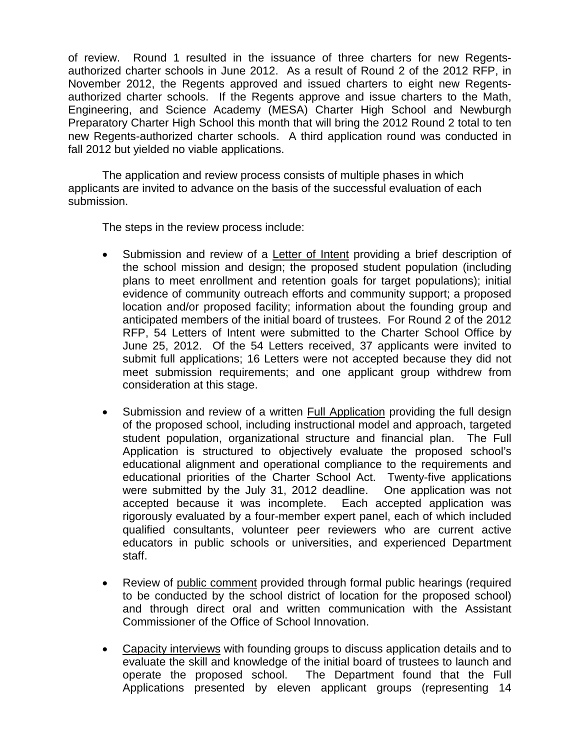of review. Round 1 resulted in the issuance of three charters for new Regentsauthorized charter schools in June 2012. As a result of Round 2 of the 2012 RFP, in November 2012, the Regents approved and issued charters to eight new Regentsauthorized charter schools. If the Regents approve and issue charters to the Math, Engineering, and Science Academy (MESA) Charter High School and Newburgh Preparatory Charter High School this month that will bring the 2012 Round 2 total to ten new Regents-authorized charter schools. A third application round was conducted in fall 2012 but yielded no viable applications.

The application and review process consists of multiple phases in which applicants are invited to advance on the basis of the successful evaluation of each submission.

The steps in the review process include:

- Submission and review of a Letter of Intent providing a brief description of the school mission and design; the proposed student population (including plans to meet enrollment and retention goals for target populations); initial evidence of community outreach efforts and community support; a proposed location and/or proposed facility; information about the founding group and anticipated members of the initial board of trustees. For Round 2 of the 2012 RFP, 54 Letters of Intent were submitted to the Charter School Office by June 25, 2012. Of the 54 Letters received, 37 applicants were invited to submit full applications; 16 Letters were not accepted because they did not meet submission requirements; and one applicant group withdrew from consideration at this stage.
- Submission and review of a written Full Application providing the full design of the proposed school, including instructional model and approach, targeted student population, organizational structure and financial plan. The Full Application is structured to objectively evaluate the proposed school's educational alignment and operational compliance to the requirements and educational priorities of the Charter School Act. Twenty-five applications were submitted by the July 31, 2012 deadline. One application was not accepted because it was incomplete. Each accepted application was rigorously evaluated by a four-member expert panel, each of which included qualified consultants, volunteer peer reviewers who are current active educators in public schools or universities, and experienced Department staff.
- Review of public comment provided through formal public hearings (required to be conducted by the school district of location for the proposed school) and through direct oral and written communication with the Assistant Commissioner of the Office of School Innovation.
- Capacity interviews with founding groups to discuss application details and to evaluate the skill and knowledge of the initial board of trustees to launch and operate the proposed school. The Department found that the Full Applications presented by eleven applicant groups (representing 14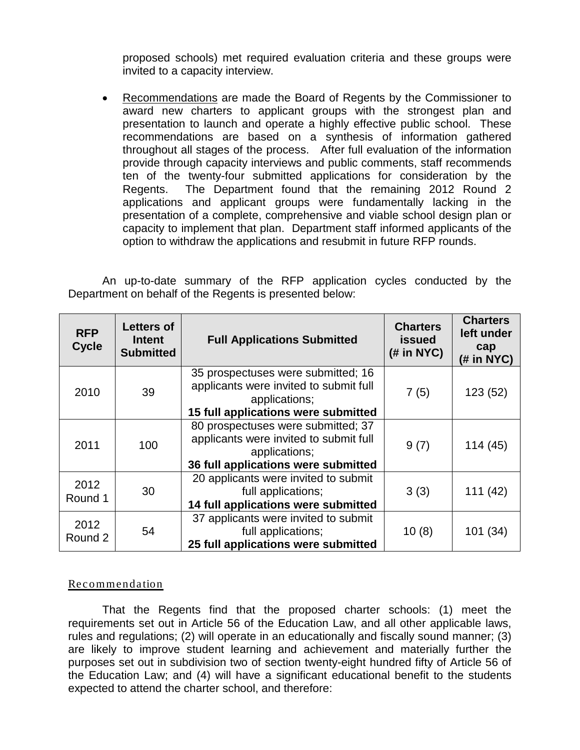proposed schools) met required evaluation criteria and these groups were invited to a capacity interview.

• Recommendations are made the Board of Regents by the Commissioner to award new charters to applicant groups with the strongest plan and presentation to launch and operate a highly effective public school. These recommendations are based on a synthesis of information gathered throughout all stages of the process. After full evaluation of the information provide through capacity interviews and public comments, staff recommends ten of the twenty-four submitted applications for consideration by the Regents. The Department found that the remaining 2012 Round 2 applications and applicant groups were fundamentally lacking in the presentation of a complete, comprehensive and viable school design plan or capacity to implement that plan. Department staff informed applicants of the option to withdraw the applications and resubmit in future RFP rounds.

An up-to-date summary of the RFP application cycles conducted by the Department on behalf of the Regents is presented below:

| <b>RFP</b><br><b>Cycle</b> | <b>Letters of</b><br>Intent<br><b>Submitted</b> | <b>Full Applications Submitted</b>                                                                                                   | <b>Charters</b><br><b>issued</b><br>$(H \cap NYC)$ | <b>Charters</b><br>left under<br>cap<br>(# in NYC) |
|----------------------------|-------------------------------------------------|--------------------------------------------------------------------------------------------------------------------------------------|----------------------------------------------------|----------------------------------------------------|
| 2010                       | 39                                              | 35 prospectuses were submitted; 16<br>applicants were invited to submit full<br>applications;<br>15 full applications were submitted | 7(5)                                               | 123(52)                                            |
| 2011                       | 100                                             | 80 prospectuses were submitted; 37<br>applicants were invited to submit full<br>applications;<br>36 full applications were submitted | 9(7)                                               | 114(45)                                            |
| 2012<br>Round 1            | 30                                              | 20 applicants were invited to submit<br>full applications;<br>14 full applications were submitted                                    | 3(3)                                               | 111(42)                                            |
| 2012<br>Round 2            | 54                                              | 37 applicants were invited to submit<br>full applications;<br>25 full applications were submitted                                    | 10(8)                                              | 101 (34)                                           |

## Recommendation

That the Regents find that the proposed charter schools: (1) meet the requirements set out in Article 56 of the Education Law, and all other applicable laws, rules and regulations; (2) will operate in an educationally and fiscally sound manner; (3) are likely to improve student learning and achievement and materially further the purposes set out in subdivision two of section twenty-eight hundred fifty of Article 56 of the Education Law; and (4) will have a significant educational benefit to the students expected to attend the charter school, and therefore: